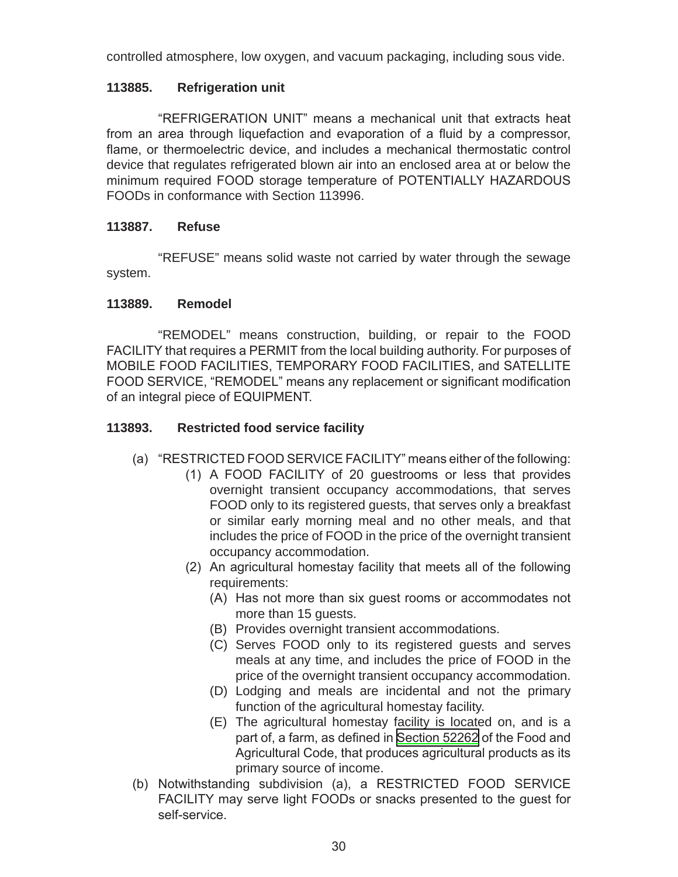controlled atmosphere, low oxygen, and vacuum packaging, including sous vide.

## 113885. **Refrigeration unit**

"REFRIGERATION UNIT" means a mechanical unit that extracts heat from an area through liquefaction and evaporation of a fluid by a compressor, flame, or thermoelectric device, and includes a mechanical thermostatic control device that regulates refrigerated blown air into an enclosed area at or below the minimum required FOOD storage temperature of POTENTIALLY HAZARDOUS FOODs in conformance with Section 113996.

# 113887. Refuse

"REFUSE" means solid waste not carried by water through the sewage system.

# **Remodel** 113889.

"REMODEL" means construction, building, or repair to the FOOD FACILITY that requires a PERMIT from the local building authority. For purposes of MOBILE FOOD FACILITIES, TEMPORARY FOOD FACILITIES, and SATELLITE FOOD SERVICE, "REMODEL" means any replacement or significant modification of an integral piece of EQUIPMENT.

# 113893. **Restricted food service facility**

- (a) "RESTRICTED FOOD SERVICE FACILITY" means either of the following:
	- (1) A FOOD FACILITY of 20 guestrooms or less that provides overnight transient occupancy accommodations, that serves FOOD only to its registered guests, that serves only a breakfast or similar early morning meal and no other meals, and that includes the price of FOOD in the price of the overnight transient occupancy accommodation.
	- (2) An agricultural homestay facility that meets all of the following requirements:
		- (A) Has not more than six guest rooms or accommodates not more than 15 quests.
		- (B) Provides overnight transient accommodations.
		- (C) Serves FOOD only to its registered guests and serves meals at any time, and includes the price of FOOD in the price of the overnight transient occupancy accommodation.
		- (D) Lodging and meals are incidental and not the primary function of the agricultural homestay facility.
		- (E) The agricultural homestay facility is located on, and is a part of, a farm, as defined in Section 52262 of the Food and Agricultural Code, that produces agricultural products as its primary source of income.
- (b) Notwithstanding subdivision (a), a RESTRICTED FOOD SERVICE FACILITY may serve light FOODs or snacks presented to the quest for self-service.